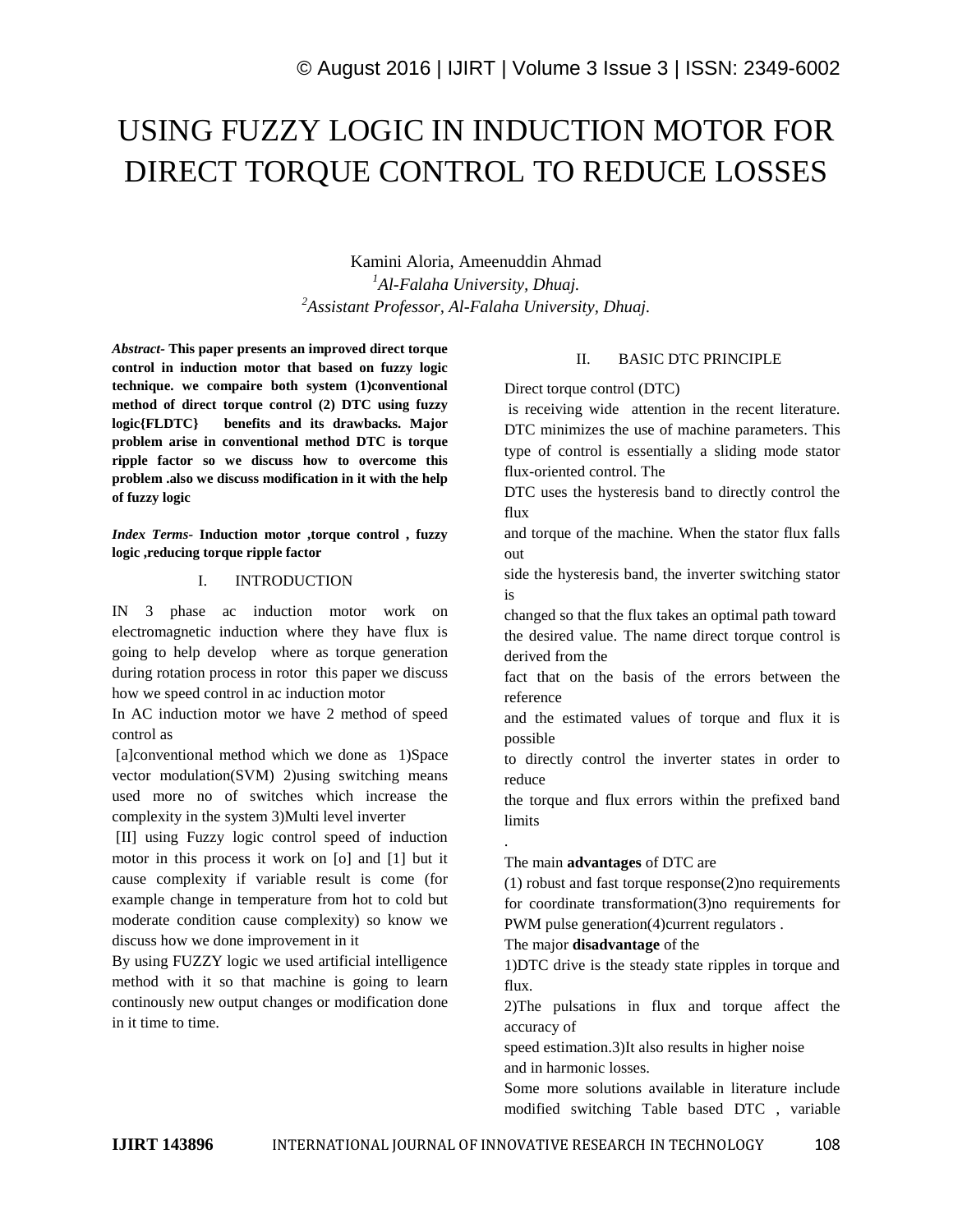# USING FUZZY LOGIC IN INDUCTION MOTOR FOR DIRECT TORQUE CONTROL TO REDUCE LOSSES

Kamini Aloria, Ameenuddin Ahmad *<sup>1</sup>Al-Falaha University, Dhuaj. <sup>2</sup>Assistant Professor, Al-Falaha University, Dhuaj.*

*Abstract-* **This paper presents an improved direct torque control in induction motor that based on fuzzy logic technique. we compaire both system (1)conventional method of direct torque control (2) DTC using fuzzy logic{FLDTC} benefits and its drawbacks. Major problem arise in conventional method DTC is torque ripple factor so we discuss how to overcome this problem .also we discuss modification in it with the help of fuzzy logic**

*Index Terms-* **Induction motor ,torque control , fuzzy logic ,reducing torque ripple factor**

### I. INTRODUCTION

IN 3 phase ac induction motor work on electromagnetic induction where they have flux is going to help develop where as torque generation during rotation process in rotor this paper we discuss how we speed control in ac induction motor

In AC induction motor we have 2 method of speed control as

[a]conventional method which we done as 1)Space vector modulation(SVM) 2)using switching means used more no of switches which increase the complexity in the system 3)Multi level inverter

[II] using Fuzzy logic control speed of induction motor in this process it work on [o] and [1] but it cause complexity if variable result is come (for example change in temperature from hot to cold but moderate condition cause complexity) so know we discuss how we done improvement in it

By using FUZZY logic we used artificial intelligence method with it so that machine is going to learn continously new output changes or modification done in it time to time.

# II. BASIC DTC PRINCIPLE

Direct torque control (DTC)

is receiving wide attention in the recent literature. DTC minimizes the use of machine parameters. This type of control is essentially a sliding mode stator flux-oriented control. The

DTC uses the hysteresis band to directly control the flux

and torque of the machine. When the stator flux falls out

side the hysteresis band, the inverter switching stator is

changed so that the flux takes an optimal path toward the desired value. The name direct torque control is derived from the

fact that on the basis of the errors between the reference

and the estimated values of torque and flux it is possible

to directly control the inverter states in order to reduce

the torque and flux errors within the prefixed band limits

# The main **advantages** of DTC are

(1) robust and fast torque response(2)no requirements for coordinate transformation(3)no requirements for PWM pulse generation(4)current regulators.

#### The major **disadvantage** of the

1)DTC drive is the steady state ripples in torque and flux.

2)The pulsations in flux and torque affect the accuracy of

speed estimation.3)It also results in higher noise and in harmonic losses.

Some more solutions available in literature include modified switching Table based DTC , variable

.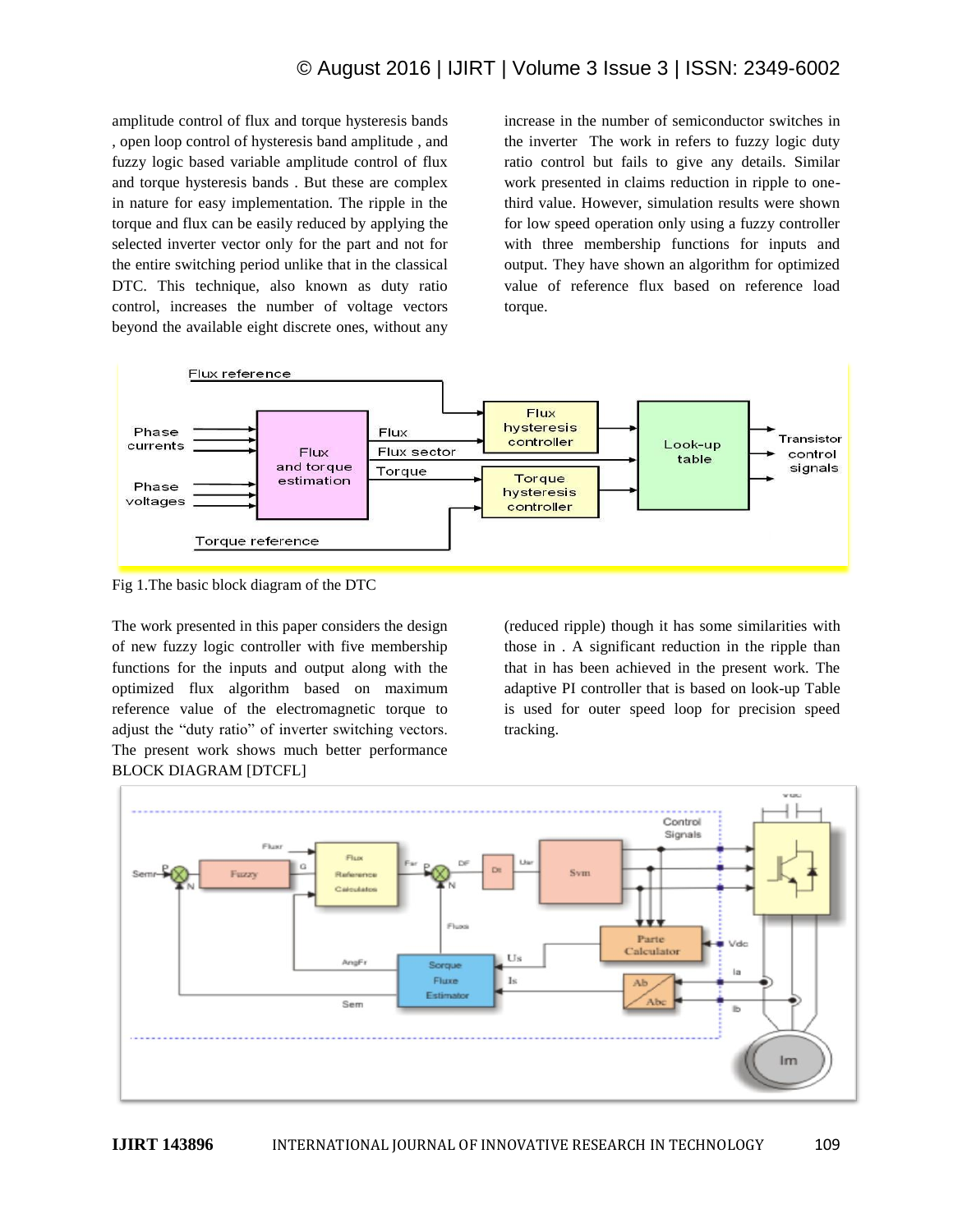# © August 2016 | IJIRT | Volume 3 Issue 3 | ISSN: 2349-6002

amplitude control of flux and torque hysteresis bands , open loop control of hysteresis band amplitude , and fuzzy logic based variable amplitude control of flux and torque hysteresis bands . But these are complex in nature for easy implementation. The ripple in the torque and flux can be easily reduced by applying the selected inverter vector only for the part and not for the entire switching period unlike that in the classical DTC. This technique, also known as duty ratio control, increases the number of voltage vectors beyond the available eight discrete ones, without any increase in the number of semiconductor switches in the inverter The work in refers to fuzzy logic duty ratio control but fails to give any details. Similar work presented in claims reduction in ripple to onethird value. However, simulation results were shown for low speed operation only using a fuzzy controller with three membership functions for inputs and output. They have shown an algorithm for optimized value of reference flux based on reference load torque.



Fig 1.The basic block diagram of the DTC

The work presented in this paper considers the design of new fuzzy logic controller with five membership functions for the inputs and output along with the optimized flux algorithm based on maximum reference value of the electromagnetic torque to adjust the "duty ratio" of inverter switching vectors. The present work shows much better performance BLOCK DIAGRAM [DTCFL]

(reduced ripple) though it has some similarities with those in . A significant reduction in the ripple than that in has been achieved in the present work. The adaptive PI controller that is based on look-up Table is used for outer speed loop for precision speed tracking.

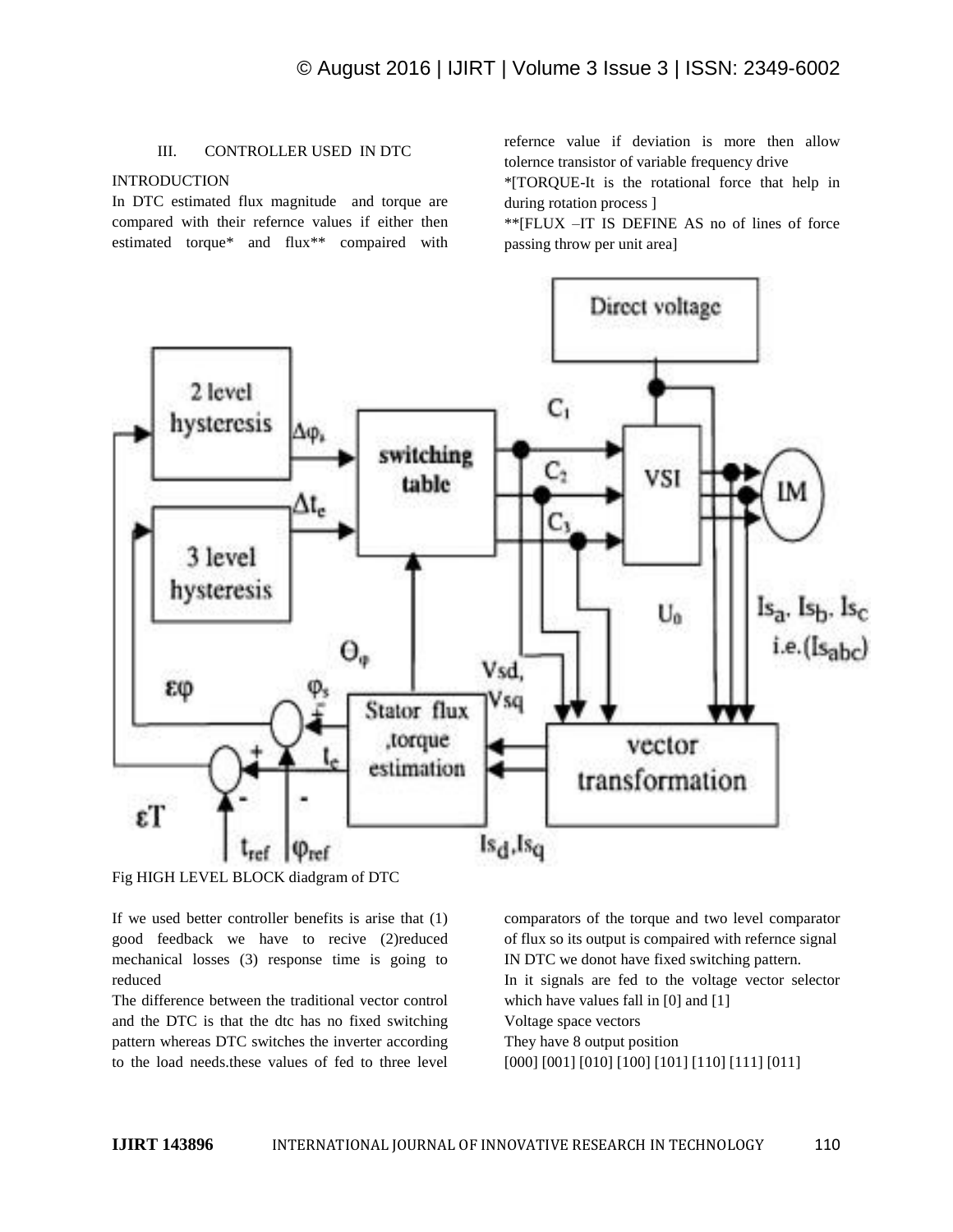# III. CONTROLLER USED IN DTC

# INTRODUCTION

In DTC estimated flux magnitude and torque are compared with their refernce values if either then estimated torque\* and flux\*\* compaired with refernce value if deviation is more then allow tolernce transistor of variable frequency drive

\*[TORQUE-It is the rotational force that help in during rotation process ]

\*\*[FLUX –IT IS DEFINE AS no of lines of force passing throw per unit area]



Fig HIGH LEVEL BLOCK diadgram of DTC

If we used better controller benefits is arise that (1) good feedback we have to recive (2)reduced mechanical losses (3) response time is going to reduced

The difference between the traditional vector control and the DTC is that the dtc has no fixed switching pattern whereas DTC switches the inverter according to the load needs.these values of fed to three level

comparators of the torque and two level comparator of flux so its output is compaired with refernce signal IN DTC we donot have fixed switching pattern. In it signals are fed to the voltage vector selector which have values fall in [0] and [1] Voltage space vectors They have 8 output position [000] [001] [010] [100] [101] [110] [111] [011]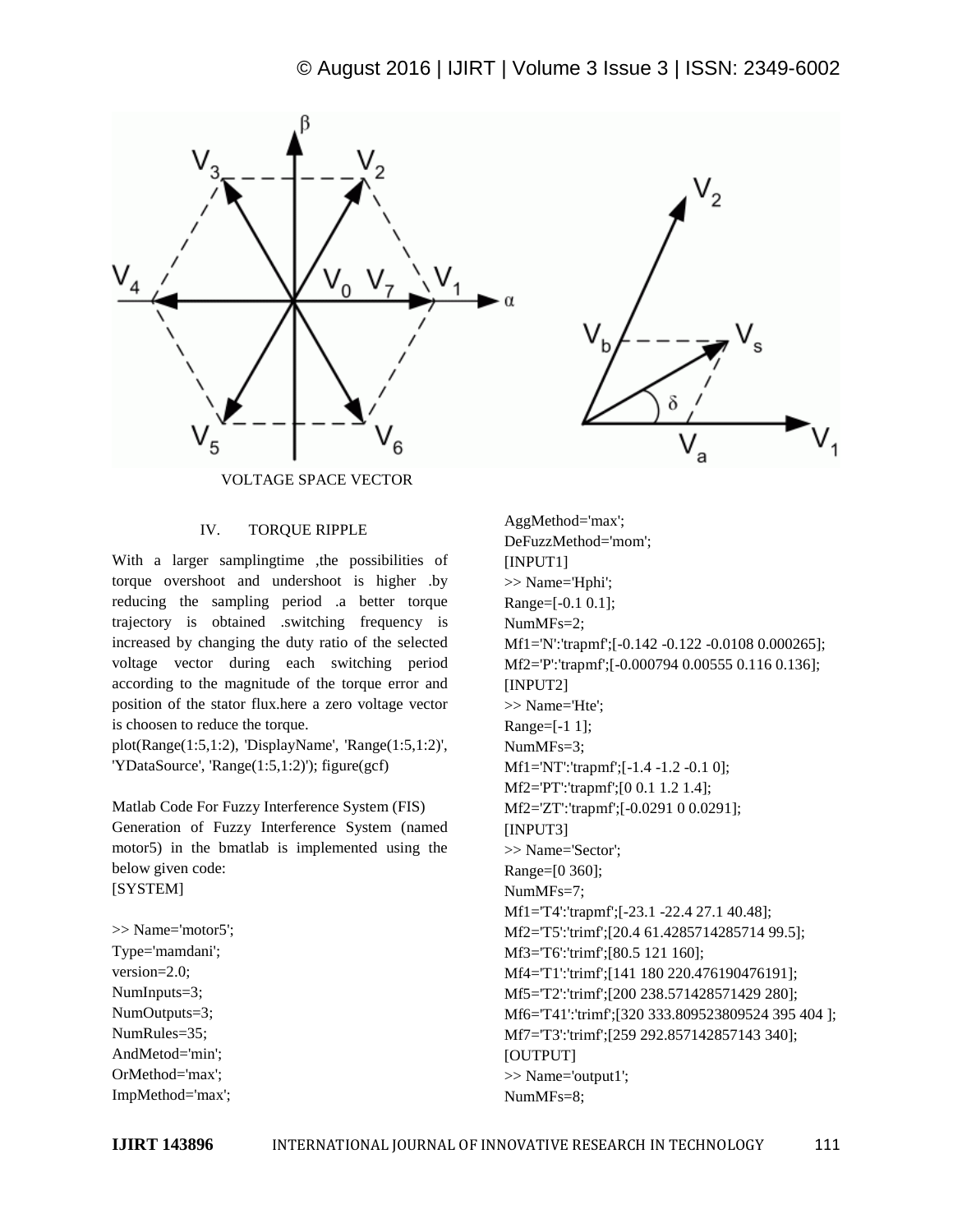



VOLTAGE SPACE VECTOR

### IV. TORQUE RIPPLE

With a larger samplingtime ,the possibilities of torque overshoot and undershoot is higher .by reducing the sampling period .a better torque trajectory is obtained .switching frequency is increased by changing the duty ratio of the selected voltage vector during each switching period according to the magnitude of the torque error and position of the stator flux.here a zero voltage vector is choosen to reduce the torque.

plot(Range(1:5,1:2), 'DisplayName', 'Range(1:5,1:2)', 'YDataSource', 'Range(1:5,1:2)'); figure(gcf)

Matlab Code For Fuzzy Interference System (FIS) Generation of Fuzzy Interference System (named motor5) in the bmatlab is implemented using the below given code: [SYSTEM]

>> Name='motor5'; Type='mamdani'; version=2.0; NumInputs=3; NumOutputs=3; NumRules=35; AndMetod='min'; OrMethod='max'; ImpMethod='max';

AggMethod='max'; DeFuzzMethod='mom'; [INPUT1] >> Name='Hphi'; Range=[-0.1 0.1]; NumMFs=2; Mf1='N':'trapmf';[-0.142 -0.122 -0.0108 0.000265]; Mf2='P':'trapmf';[-0.000794 0.00555 0.116 0.136]; [INPUT2] >> Name='Hte'; Range=[-1 1]; NumMFs=3; Mf1='NT':'trapmf';[-1.4 -1.2 -0.1 0]; Mf2='PT':'trapmf';[0 0.1 1.2 1.4]; Mf2='ZT':'trapmf';[-0.0291 0 0.0291]; [INPUT3] >> Name='Sector'; Range=[0 360]; NumMFs=7; Mf1='T4':'trapmf';[-23.1 -22.4 27.1 40.48]; Mf2='T5':'trimf';[20.4 61.4285714285714 99.5]; Mf3='T6':'trimf';[80.5 121 160]; Mf4='T1':'trimf';[141 180 220.476190476191]; Mf5='T2':'trimf';[200 238.571428571429 280]; Mf6='T41':'trimf';[320 333.809523809524 395 404 ]; Mf7='T3':'trimf';[259 292.857142857143 340]; [OUTPUT] >> Name='output1'; NumMFs=8;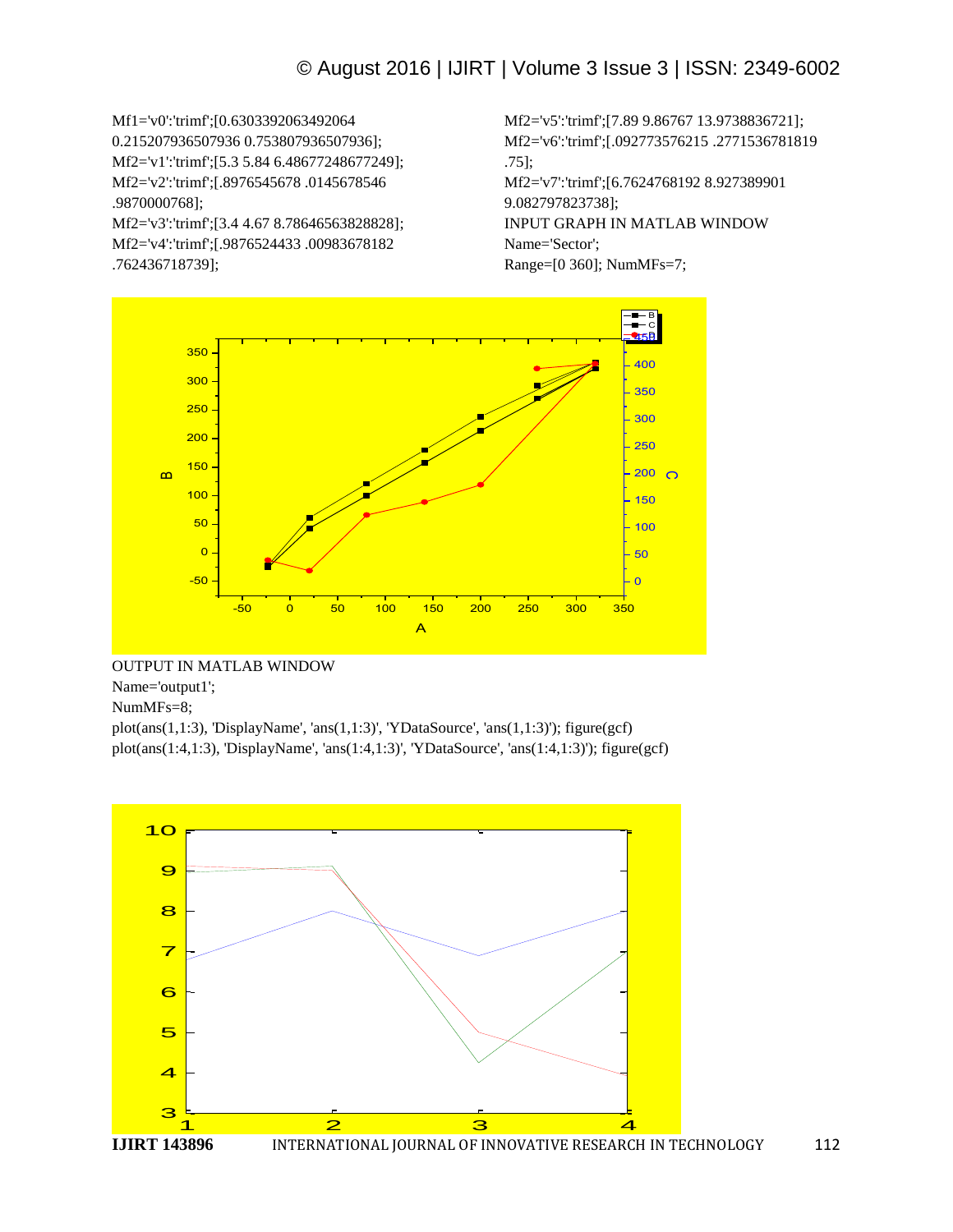Mf1='v0':'trimf';[0.6303392063492064 0.215207936507936 0.753807936507936]; Mf2='v1':'trimf';[5.3 5.84 6.48677248677249]; Mf2='v2':'trimf';[.8976545678 .0145678546 .9870000768]; Mf2='v3':'trimf';[3.4 4.67 8.78646563828828]; Mf2='v4':'trimf';[.9876524433 .00983678182 .762436718739];

Mf2='v5':'trimf';[7.89 9.86767 13.9738836721]; Mf2='v6':'trimf';[.092773576215 .2771536781819 .75]; Mf2='v7':'trimf';[6.7624768192 8.927389901 9.082797823738]; INPUT GRAPH IN MATLAB WINDOW Name='Sector'; Range=[0 360]; NumMFs=7;



# OUTPUT IN MATLAB WINDOW

Name='output1';

NumMFs=8;

plot(ans(1,1:3), 'DisplayName', 'ans(1,1:3)', 'YDataSource', 'ans(1,1:3)'); figure(gcf) plot(ans(1:4,1:3), 'DisplayName', 'ans(1:4,1:3)', 'YDataSource', 'ans(1:4,1:3)'); figure(gcf)

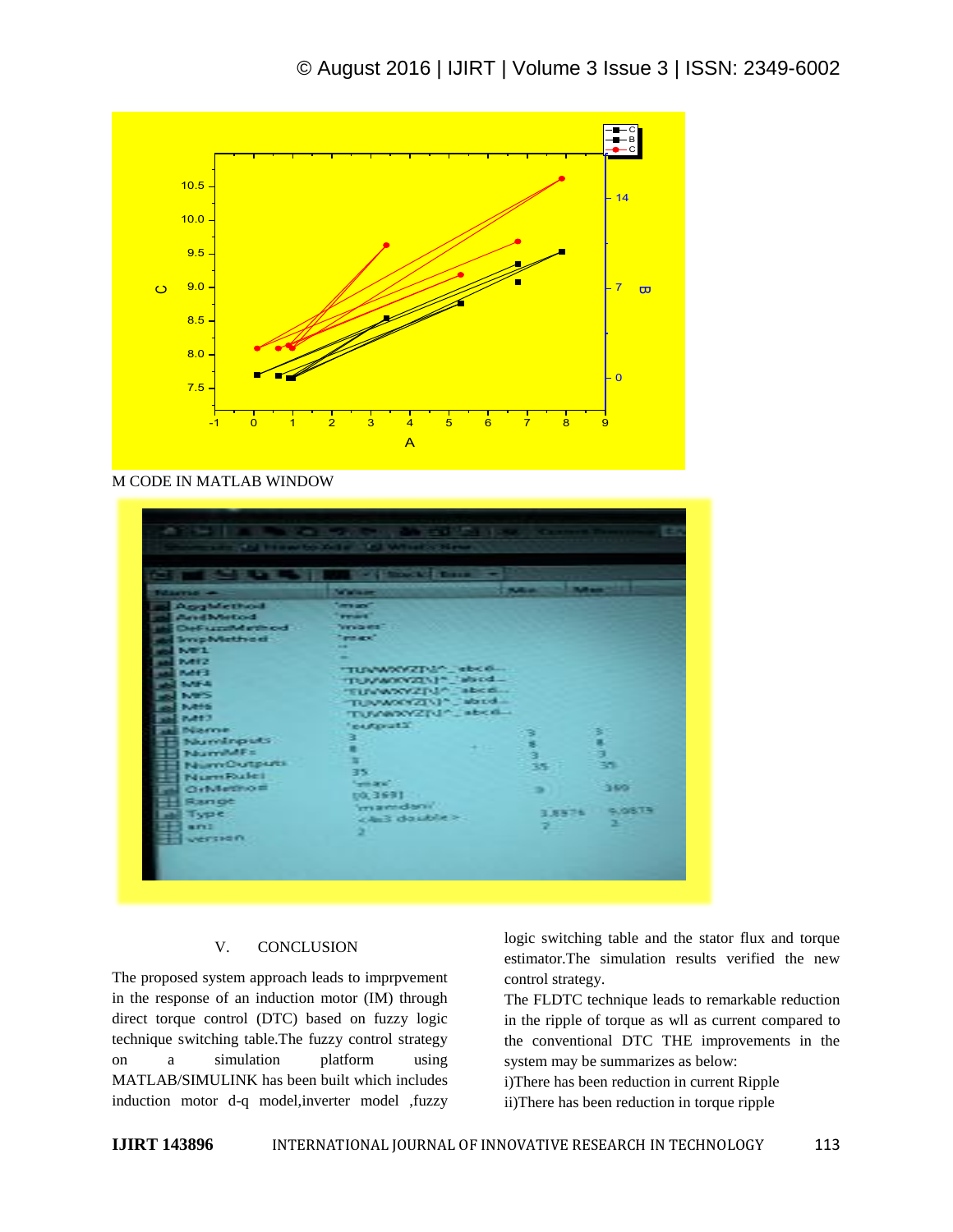

M CODE IN MATLAB WINDOW

|                                 | <b>Constitution Address Constitution</b> |        |                            |  |
|---------------------------------|------------------------------------------|--------|----------------------------|--|
| <b><i><u>Silkerise</u></i></b>  | <b>Walker</b>                            | 2000 C | <b><i><u>March</u></i></b> |  |
| <b>Assistant</b>                | <b>Service</b>                           |        |                            |  |
| <b><i><u>AristMetod</u></i></b> | <b>Print</b>                             |        |                            |  |
| DeFuzziklethod                  | <b>Vincent</b>                           |        |                            |  |
| <b>Syrip Method</b>             | <b>Telephone</b>                         |        |                            |  |
| <b>NET</b>                      |                                          |        |                            |  |
| <b>DOM: N</b>                   |                                          |        |                            |  |
| <b>DATE</b>                     | "TUNNOCKZPA" sbco                        |        |                            |  |
| <b>BASE A</b>                   | TUMMOVELLE "abod<br>"FUVWWWZIU" abcd     |        |                            |  |
| <b>NOS</b>                      |                                          |        |                            |  |
| <b>INGES</b>                    | TUNNOPERLY Libred<br>TUVWWZIU^_abcd      |        |                            |  |
| 20422                           |                                          |        |                            |  |
| <b>Düarren</b>                  | "partpratt"                              | з      |                            |  |
| Numinputs                       | з                                        | s.     | 医鼻沟                        |  |
| <b>NumMFs</b>                   |                                          | à.     |                            |  |
| NumOutputs                      | ٠                                        | 35     | 书馆                         |  |
| Num Rulei                       | 35.                                      |        |                            |  |
| OrMetho=                        | <b>Search</b>                            |        | 3807                       |  |
| Range                           | 1692.03                                  |        |                            |  |
| <b>Type</b>                     | 'mandani'                                |        | 9.9879<br>3,8576           |  |
|                                 | < And double >                           |        |                            |  |
| <b>ALCOHOL:</b>                 |                                          | m      |                            |  |
| werston                         |                                          |        |                            |  |

#### V. CONCLUSION

The proposed system approach leads to imprpvement in the response of an induction motor (IM) through direct torque control (DTC) based on fuzzy logic technique switching table.The fuzzy control strategy on a simulation platform using MATLAB/SIMULINK has been built which includes induction motor d-q model,inverter model ,fuzzy logic switching table and the stator flux and torque estimator.The simulation results verified the new control strategy.

The FLDTC technique leads to remarkable reduction in the ripple of torque as wll as current compared to the conventional DTC THE improvements in the system may be summarizes as below:

i)There has been reduction in current Ripple ii)There has been reduction in torque ripple